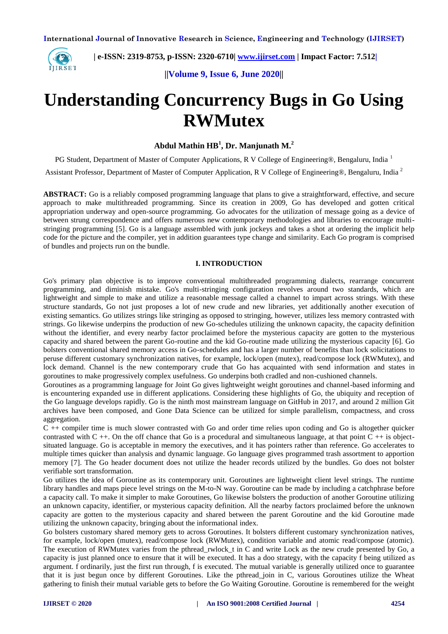

 **| e-ISSN: 2319-8753, p-ISSN: 2320-6710[| www.ijirset.com](http://www.ijirset.com/) | Impact Factor: 7.512|**

**||Volume 9, Issue 6, June 2020||** 

# **Understanding Concurrency Bugs in Go Using RWMutex**

**Abdul Mathin HB<sup>1</sup> , Dr. Manjunath M.<sup>2</sup>**

PG Student, Department of Master of Computer Applications, R V College of Engineering®, Bengaluru, India<sup>1</sup> Assistant Professor, Department of Master of Computer Application, R V College of Engineering®, Bengaluru, India <sup>2</sup>

**ABSTRACT:** Go is a reliably composed programming language that plans to give a straightforward, effective, and secure approach to make multithreaded programming. Since its creation in 2009, Go has developed and gotten critical appropriation underway and open-source programming. Go advocates for the utilization of message going as a device of between strung correspondence and offers numerous new contemporary methodologies and libraries to encourage multistringing programming [5]. Go is a language assembled with junk jockeys and takes a shot at ordering the implicit help code for the picture and the compiler, yet in addition guarantees type change and similarity. Each Go program is comprised of bundles and projects run on the bundle.

## **I. INTRODUCTION**

Go's primary plan objective is to improve conventional multithreaded programming dialects, rearrange concurrent programming, and diminish mistake. Go's multi-stringing configuration revolves around two standards, which are lightweight and simple to make and utilize a reasonable message called a channel to impart across strings. With these structure standards, Go not just proposes a lot of new crude and new libraries, yet additionally another execution of existing semantics. Go utilizes strings like stringing as opposed to stringing, however, utilizes less memory contrasted with strings. Go likewise underpins the production of new Go-schedules utilizing the unknown capacity, the capacity definition without the identifier, and every nearby factor proclaimed before the mysterious capacity are gotten to the mysterious capacity and shared between the parent Go-routine and the kid Go-routine made utilizing the mysterious capacity [6]. Go bolsters conventional shared memory access in Go-schedules and has a larger number of benefits than lock solicitations to peruse different customary synchronization natives, for example, lock/open (mutex), read/compose lock (RWMutex), and lock demand. Channel is the new contemporary crude that Go has acquainted with send information and states in goroutines to make progressively complex usefulness. Go underpins both cradled and non-cushioned channels.

Goroutines as a programming language for Joint Go gives lightweight weight goroutines and channel-based informing and is encountering expanded use in different applications. Considering these highlights of Go, the ubiquity and reception of the Go language develops rapidly. Go is the ninth most mainstream language on GitHub in 2017, and around 2 million Git archives have been composed, and Gone Data Science can be utilized for simple parallelism, compactness, and cross aggregation.

C ++ compiler time is much slower contrasted with Go and order time relies upon coding and Go is altogether quicker contrasted with  $C + \ldots$ . On the off chance that Go is a procedural and simultaneous language, at that point  $C + \ldots$  is objectsituated language. Go is acceptable in memory the executives, and it has pointers rather than reference. Go accelerates to multiple times quicker than analysis and dynamic language. Go language gives programmed trash assortment to apportion memory [7]. The Go header document does not utilize the header records utilized by the bundles. Go does not bolster verifiable sort transformation.

Go utilizes the idea of Goroutine as its contemporary unit. Goroutines are lightweight client level strings. The runtime library handles and maps piece level strings on the M-to-N way. Goroutine can be made by including a catchphrase before a capacity call. To make it simpler to make Goroutines, Go likewise bolsters the production of another Goroutine utilizing an unknown capacity, identifier, or mysterious capacity definition. All the nearby factors proclaimed before the unknown capacity are gotten to the mysterious capacity and shared between the parent Goroutine and the kid Goroutine made utilizing the unknown capacity, bringing about the informational index.

Go bolsters customary shared memory gets to across Goroutines. It bolsters different customary synchronization natives, for example, lock/open (mutex), read/compose lock (RWMutex), condition variable and atomic read/compose (atomic). The execution of RWMutex varies from the pthread rwlock t in C and write Lock as the new crude presented by Go, a capacity is just planned once to ensure that it will be executed. It has a doo strategy, with the capacity f being utilized as argument. f ordinarily, just the first run through, f is executed. The mutual variable is generally utilized once to guarantee that it is just begun once by different Goroutines. Like the pthread\_join in C, various Goroutines utilize the Wheat gathering to finish their mutual variable gets to before the Go Waiting Goroutine. Goroutine is remembered for the weight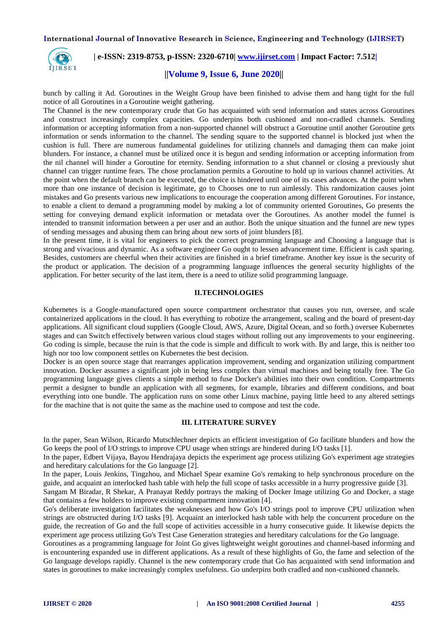**International Journal of Innovative Research in Science, Engineering and Technology (IJIRSET)**



# **| e-ISSN: 2319-8753, p-ISSN: 2320-6710[| www.ijirset.com](http://www.ijirset.com/) | Impact Factor: 7.512|**

## **||Volume 9, Issue 6, June 2020||**

bunch by calling it Ad. Goroutines in the Weight Group have been finished to advise them and hang tight for the full notice of all Goroutines in a Goroutine weight gathering.

The Channel is the new contemporary crude that Go has acquainted with send information and states across Goroutines and construct increasingly complex capacities. Go underpins both cushioned and non-cradled channels. Sending information or accepting information from a non-supported channel will obstruct a Goroutine until another Goroutine gets information or sends information to the channel. The sending square to the supported channel is blocked just when the cushion is full. There are numerous fundamental guidelines for utilizing channels and damaging them can make joint blunders. For instance, a channel must be utilized once it is begun and sending information or accepting information from the nil channel will hinder a Goroutine for eternity. Sending information to a shut channel or closing a previously shut channel can trigger runtime fears. The chose proclamation permits a Goroutine to hold up in various channel activities. At the point when the default branch can be executed, the choice is hindered until one of its cases advances. At the point when more than one instance of decision is legitimate, go to Chooses one to run aimlessly. This randomization causes joint mistakes and Go presents various new implications to encourage the cooperation among different Goroutines. For instance, to enable a client to demand a programming model by making a lot of community oriented Goroutines, Go presents the setting for conveying demand explicit information or metadata over the Goroutines. As another model the funnel is intended to transmit information between a per user and an author. Both the unique situation and the funnel are new types of sending messages and abusing them can bring about new sorts of joint blunders [8].

In the present time, it is vital for engineers to pick the correct programming language and Choosing a language that is strong and vivacious and dynamic. As a software engineer Go ought to lessen advancement time. Efficient is cash sparing. Besides, customers are cheerful when their activities are finished in a brief timeframe. Another key issue is the security of the product or application. The decision of a programming language influences the general security highlights of the application. For better security of the last item, there is a need to utilize solid programming language.

#### **II.TECHNOLOGIES**

Kubernetes is a Google-manufactured open source compartment orchestrator that causes you run, oversee, and scale containerized applications in the cloud. It has everything to robotize the arrangement, scaling and the board of present-day applications. All significant cloud suppliers (Google Cloud, AWS, Azure, Digital Ocean, and so forth.) oversee Kubernetes stages and can Switch effectively between various cloud stages without rolling out any improvements to your engineering. Go coding is simple, because the ruin is that the code is simple and difficult to work with. By and large, this is neither too high nor too low component settles on Kubernetes the best decision.

Docker is an open source stage that rearranges application improvement, sending and organization utilizing compartment innovation. Docker assumes a significant job in being less complex than virtual machines and being totally free. The Go programming language gives clients a simple method to fuse Docker's abilities into their own condition. Compartments permit a designer to bundle an application with all segments, for example, libraries and different conditions, and boat everything into one bundle. The application runs on some other Linux machine, paying little heed to any altered settings for the machine that is not quite the same as the machine used to compose and test the code.

#### **III. LITERATURE SURVEY**

In the paper, Sean Wilson, Ricardo Mutschlechner depicts an efficient investigation of Go facilitate blunders and how the Go keeps the pool of I/O strings to improve CPU usage when strings are hindered during I/O tasks [1].

In the paper, Edbert Vijaya, Bayou Hendrajaya depicts the experiment age process utilizing Go's experiment age strategies and hereditary calculations for the Go language [2].

In the paper, Louis Jenkins, Tingzhou, and Michael Spear examine Go's remaking to help synchronous procedure on the guide, and acquaint an interlocked hash table with help the full scope of tasks accessible in a hurry progressive guide [3].

Sangam M Biradar, R Shekar, A Pranayat Reddy portrays the making of Docker Image utilizing Go and Docker, a stage that contains a few holders to improve existing compartment innovation [4].

Go's deliberate investigation facilitates the weaknesses and how Go's I/O strings pool to improve CPU utilization when strings are obstructed during I/O tasks [9]. Acquaint an interlocked hash table with help the concurrent procedure on the guide, the recreation of Go and the full scope of activities accessible in a hurry consecutive guide. It likewise depicts the experiment age process utilizing Go's Test Case Generation strategies and hereditary calculations for the Go language.

Goroutines as a programming language for Joint Go gives lightweight weight goroutines and channel-based informing and is encountering expanded use in different applications. As a result of these highlights of Go, the fame and selection of the Go language develops rapidly. Channel is the new contemporary crude that Go has acquainted with send information and states in goroutines to make increasingly complex usefulness. Go underpins both cradled and non-cushioned channels.